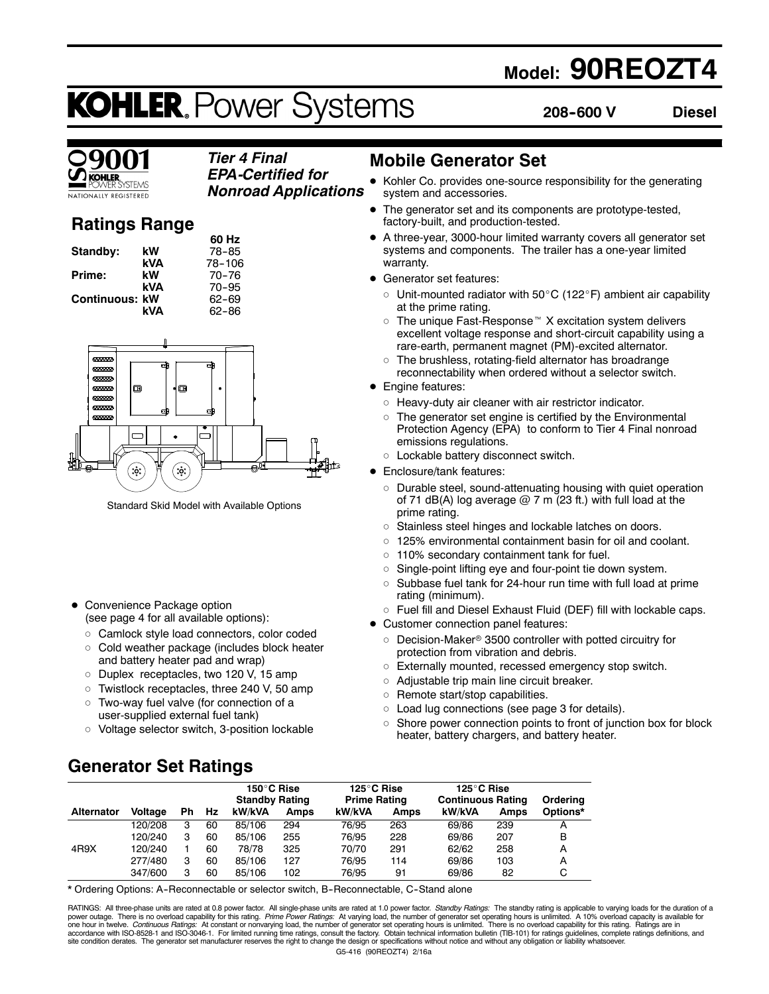## **Model: 90REOZT4**

## **KOHLER. Power Systems**

**208--600 V Diesel**

#### *Tier 4 Final EPA-Certified for*

**TIONALLY REGISTERED** 

## **Ratings Range** *Nonroad Applications*

|                       |     | 60 Hz     |
|-----------------------|-----|-----------|
| Standby:              | kW  | 78-85     |
|                       | kVA | 78-106    |
| Prime:                | kW  | 70-76     |
|                       | kVA | $70 - 95$ |
| <b>Continuous: kW</b> |     | 62-69     |
|                       | kVA | 62-86     |
|                       |     |           |



Standard Skid Model with Available Options

• Convenience Package option (see page 4 for all available options):

- o Camlock style load connectors, color coded  $\circ$  Cold weather package (includes block heater
- and battery heater pad and wrap)
- o Duplex receptacles, two 120 V, 15 amp
- $\circ$  Twistlock receptacles, three 240 V, 50 amp
- o Two-way fuel valve (for connection of a user-supplied external fuel tank)
- $\circ$  Voltage selector switch, 3-position lockable

## **Mobile Generator Set**

- Kohler Co. provides one-source responsibility for the generating system and accessories.
- The generator set and its components are prototype-tested, factory-built, and production-tested.
- A three-year, 3000-hour limited warranty covers all generator set systems and components. The trailer has a one-year limited warranty.
- Generator set features:
	- $\circ$  Unit-mounted radiator with 50 $\rm{^{\circ}C}$  (122 $\rm{^{\circ}F}$ ) ambient air capability at the prime rating.
	- $\circ$  The unique Fast-Response<sup> $M$ </sup> X excitation system delivers excellent voltage response and short-circuit capability using a rare-earth, permanent magnet (PM)-excited alternator.
	- $\circ$  The brushless, rotating-field alternator has broadrange reconnectability when ordered without a selector switch.
- Engine features:
	- $\circ$  Heavy-duty air cleaner with air restrictor indicator.
	- $\circ$  The generator set engine is certified by the Environmental Protection Agency (EPA) to conform to Tier 4 Final nonroad emissions regulations.
- o Lockable battery disconnect switch.
- Enclosure/tank features:
	- o Durable steel, sound-attenuating housing with quiet operation of 71 dB(A) log average  $@$  7 m (23 ft.) with full load at the prime rating.
	- o Stainless steel hinges and lockable latches on doors.
	- $\circ$  125% environmental containment basin for oil and coolant.
	- $\circ$  110% secondary containment tank for fuel.
	- $\circ$  Single-point lifting eye and four-point tie down system.
	- $\circ$  Subbase fuel tank for 24-hour run time with full load at prime rating (minimum).
	- $\circ$  Fuel fill and Diesel Exhaust Fluid (DEF) fill with lockable caps.
- Customer connection panel features:
	- $\circ$  Decision-Maker® 3500 controller with potted circuitry for protection from vibration and debris.
	- o Externally mounted, recessed emergency stop switch.
	- $\circ$  Adjustable trip main line circuit breaker.
	- $\circ$  Remote start/stop capabilities.
	- $\circ$  Load lug connections (see page 3 for details).
	- $\circ$  Shore power connection points to front of junction box for block heater, battery chargers, and battery heater.

## **Generator Set Ratings**

|                   |         |    |    | 150°C Rise<br><b>Standby Rating</b> |      | 125°C Rise<br><b>Prime Rating</b> |      | 125°C Rise<br><b>Continuous Rating</b> |      | Orderina |
|-------------------|---------|----|----|-------------------------------------|------|-----------------------------------|------|----------------------------------------|------|----------|
| <b>Alternator</b> | Voltage | Ph | Hz | kW/kVA                              | Amps | kW/kVA                            | Amps | kW/kVA                                 | Amps | Options* |
|                   | 120/208 | з  | 60 | 85/106                              | 294  | 76/95                             | 263  | 69/86                                  | 239  |          |
|                   | 120/240 | з  | 60 | 85/106                              | 255  | 76/95                             | 228  | 69/86                                  | 207  | В        |
| 4R9X              | 120/240 |    | 60 | 78/78                               | 325  | 70/70                             | 291  | 62/62                                  | 258  | A        |
|                   | 277/480 | 3  | 60 | 85/106                              | 127  | 76/95                             | 114  | 69/86                                  | 103  | А        |
|                   | 347/600 | з  | 60 | 85/106                              | 102  | 76/95                             | 91   | 69/86                                  | 82   | С        |

\* Ordering Options: A--Reconnectable or selector switch, B--Reconnectable, C--Stand alone

G5-416 (90REOZT4) 2/16a RATINGS: All three-phase units are rated at 0.8 power factor. All single-phase units are rated at 1.0 power factor. Standby Ratings: The standby rating is applicable to varying loads for the duration of a power outage. There is no overload capability for this rating. *Prime Power Ratings:* At varying load, the number of generator set operating hours is unlimited. A 10% overload capacity is available for<br>one hour in twelve.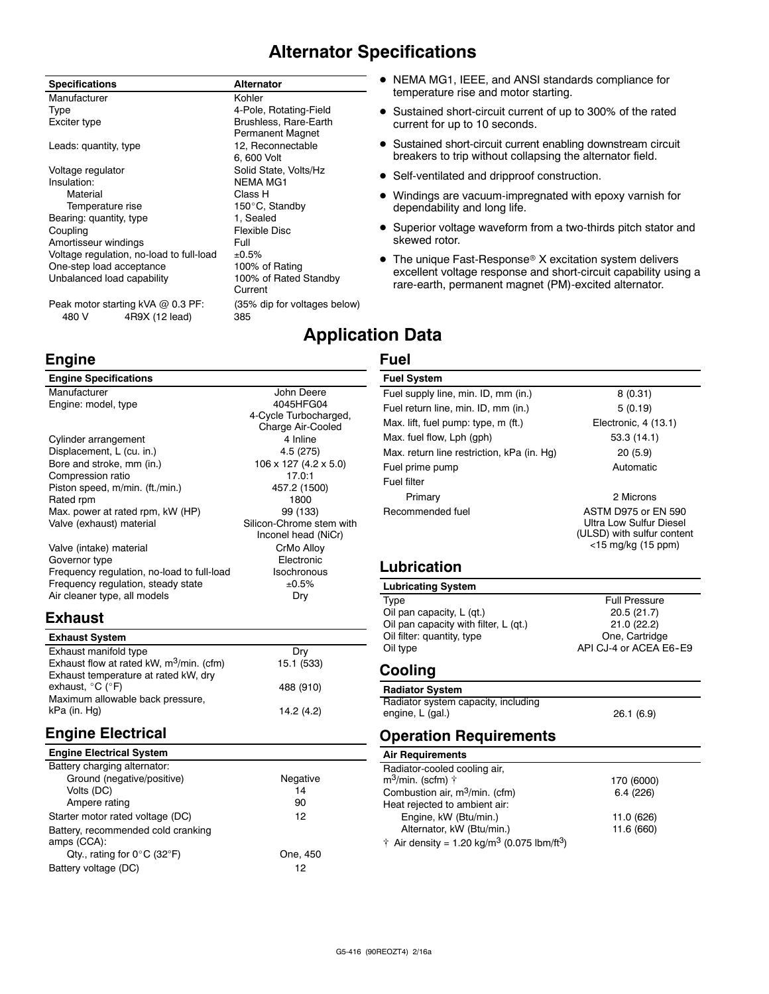## **Alternator Specifications**

#### **Specifications Alternator** Manufacturer **Kohler** Kohler Type **4-Pole, Rotating-Field** Exciter type **Brushless**, Rare-Earth Permanent Magnet Leads: quantity, type 12, Reconnectable 6, 600 Volt Voltage regulator **Solid State, Volts/Hz** Insulation: NEMA MG1 Material Class H<br>Temperature rise Temperature of the Material Solid 150°C, Standby Bearing: quantity, type 1, Sealed Coupling **Flexible Disc** Amortisseur windings The Manuscript Control of Full Voltage regulation, no-load to full-load  $\pm 0.5\%$ <br>One-step load acceptance 100% of Rating One-step load acceptance Unbalanced load capability 100% of Rated Standby Current

Peak motor starting kVA @ 0.3 PF: (35% dip for voltages below) 480 V 4R9X (12 lead) 385

## **Engine**

#### **Engine Specifications**

| Manufacturer                               | John Deere               |
|--------------------------------------------|--------------------------|
| Engine: model, type                        | 4045HFG04                |
|                                            | 4-Cycle Turbocharged,    |
|                                            | Charge Air-Cooled        |
| Cylinder arrangement                       | 4 Inline                 |
| Displacement, L (cu. in.)                  | 4.5 (275)                |
| Bore and stroke, mm (in.)                  | 106 x 127 (4.2 x 5.0)    |
| Compression ratio                          | 17.0:1                   |
| Piston speed, m/min. (ft./min.)            | 457.2 (1500)             |
| Rated rpm                                  | 1800                     |
| Max. power at rated rpm, kW (HP)           | 99 (133)                 |
| Valve (exhaust) material                   | Silicon-Chrome stem with |
|                                            | Inconel head (NiCr)      |
| Valve (intake) material                    | CrMo Alloy               |
| Governor type                              | Electronic               |
| Frequency regulation, no-load to full-load | Isochronous              |
| Frequency regulation, steady state         | ±0.5%                    |
| Air cleaner type, all models               | Dry                      |

## **Exhaust**

| <b>Exhaust System</b>                                |            |
|------------------------------------------------------|------------|
| Exhaust manifold type                                | Drv        |
| Exhaust flow at rated kW, m <sup>3</sup> /min. (cfm) | 15.1 (533) |
| Exhaust temperature at rated kW, dry                 |            |
| exhaust, $^{\circ}$ C ( $^{\circ}$ F)                | 488 (910)  |
| Maximum allowable back pressure,                     |            |
| kPa (in. Hg)                                         | 14.2 (4.2) |

## **Engine Electrical**

| <b>Engine Electrical System</b> |  |
|---------------------------------|--|
|                                 |  |

| Battery charging alternator:                      |          |
|---------------------------------------------------|----------|
| Ground (negative/positive)                        | Negative |
| Volts (DC)                                        | 14       |
| Ampere rating                                     | 90       |
| Starter motor rated voltage (DC)                  | 12       |
| Battery, recommended cold cranking<br>amps (CCA): |          |
| Qty., rating for $0^{\circ}$ C (32 $^{\circ}$ F)  | One, 450 |
| Battery voltage (DC)                              | 12       |

- NEMA MG1, IEEE, and ANSI standards compliance for temperature rise and motor starting.
- Sustained short-circuit current of up to 300% of the rated current for up to 10 seconds.
- Sustained short-circuit current enabling downstream circuit breakers to trip without collapsing the alternator field.
- Self-ventilated and dripproof construction.
- Windings are vacuum-impregnated with epoxy varnish for dependability and long life.
- Superior voltage waveform from a two-thirds pitch stator and skewed rotor.
- $\bullet$  The unique Fast-Response® X excitation system delivers excellent voltage response and short-circuit capability using a rare-earth, permanent magnet (PM)-excited alternator.

## **Application Data**

#### **Fuel**

| <b>Fuel System</b>                         |                                                                                                       |
|--------------------------------------------|-------------------------------------------------------------------------------------------------------|
| Fuel supply line, min. ID, mm (in.)        | 8(0.31)                                                                                               |
| Fuel return line, min. ID, mm (in.)        | 5(0.19)                                                                                               |
| Max. lift, fuel pump: type, m (ft.)        | Electronic, 4 (13.1)                                                                                  |
| Max. fuel flow, Lph (gph)                  | 53.3 (14.1)                                                                                           |
| Max. return line restriction, kPa (in. Hg) | 20(5.9)                                                                                               |
| Fuel prime pump                            | Automatic                                                                                             |
| Fuel filter                                |                                                                                                       |
| Primary                                    | 2 Microns                                                                                             |
| Recommended fuel                           | ASTM D975 or FN 590<br>Ultra Low Sulfur Diesel<br>(ULSD) with sulfur content<br>$<$ 15 mg/kg (15 ppm) |

#### **Lubrication**

## **Lubricating System**

| Type                                  | <b>Full Pressure</b>   |
|---------------------------------------|------------------------|
| Oil pan capacity, L (gt.)             | 20.5(21.7)             |
| Oil pan capacity with filter, L (qt.) | 21.0(22.2)             |
| Oil filter: quantity, type            | One, Cartridge         |
| Oil type                              | API CJ-4 or ACEA E6-E9 |
|                                       |                        |

## **Cooling**

| <b>Radiator System</b>              |           |
|-------------------------------------|-----------|
| Radiator system capacity, including |           |
| engine, L (gal.)                    | 26.1(6.9) |

Pressure

## **Operation Requirements**

| <b>Air Requirements</b>                                             |            |
|---------------------------------------------------------------------|------------|
| Radiator-cooled cooling air,                                        |            |
| $m^3$ /min. (scfm) $\dagger$                                        | 170 (6000) |
| Combustion air, m <sup>3</sup> /min. (cfm)                          | 6.4(226)   |
| Heat rejected to ambient air:                                       |            |
| Engine, kW (Btu/min.)                                               | 11.0 (626) |
| Alternator, kW (Btu/min.)                                           | 11.6 (660) |
| † Air density = 1.20 kg/m <sup>3</sup> (0.075 lbm/ft <sup>3</sup> ) |            |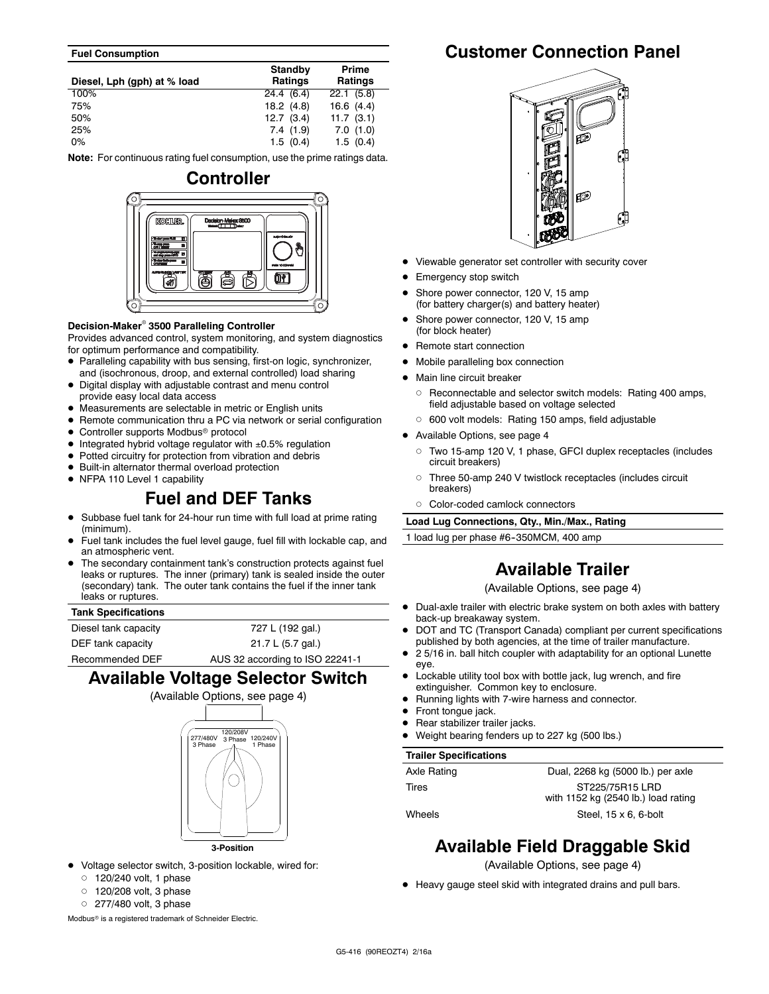#### **Fuel Consumption**

| Diesel, Lph (gph) at % load | Standby<br>Ratings | Prime<br><b>Ratings</b> |
|-----------------------------|--------------------|-------------------------|
| 100%                        | 24.4 (6.4)         | 22.1(5.8)               |
| 75%                         | 18.2(4.8)          | 16.6(4.4)               |
| 50%                         | 12.7(3.4)          | 11.7(3.1)               |
| 25%                         | 7.4(1.9)           | 7.0(1.0)                |
| $0\%$                       | 1.5(0.4)           | 1.5(0.4)                |

**Note:** For continuous rating fuel consumption, use the prime ratings data.

# **Controller KOUTLER OF**

#### **Decision-Maker<sup>®</sup> 3500 Paralleling Controller**

Provides advanced control, system monitoring, and system diagnostics for optimum performance and compatibility.

- Paralleling capability with bus sensing, first-on logic, synchronizer, and (isochronous, droop, and external controlled) load sharing
- Digital display with adjustable contrast and menu control provide easy local data access
- Measurements are selectable in metric or English units
- Remote communication thru a PC via network or serial configuration
- Controller supports Modbus<sup>®</sup> protocol
- $\bullet$  Integrated hybrid voltage regulator with  $\pm 0.5\%$  regulation
- $\bullet$  Potted circuitry for protection from vibration and debris
- $\bullet$  Built-in alternator thermal overload protection
- NFPA 110 Level 1 capability

## **Fuel and DEF Tanks**

- Subbase fuel tank for 24-hour run time with full load at prime rating (minimum).
- Fuel tank includes the fuel level gauge, fuel fill with lockable cap, and an atmospheric vent.
- The secondary containment tank's construction protects against fuel leaks or ruptures. The inner (primary) tank is sealed inside the outer (secondary) tank. The outer tank contains the fuel if the inner tank leaks or ruptures.

#### **Tank Specifications**

| Diesel tank capacity | 727 L (192 gal.)                |
|----------------------|---------------------------------|
| DEF tank capacity    | 21.7 L (5.7 gal.)               |
| Recommended DEF      | AUS 32 according to ISO 22241-1 |

## **Available Voltage Selector Switch**



- Voltage selector switch, 3-position lockable, wired for:
	- $0$  120/240 volt, 1 phase
	- $\circ$  120/208 volt, 3 phase
	- $0$  277/480 volt, 3 phase

Modbus<sup>®</sup> is a registered trademark of Schneider Electric.

## **Customer Connection Panel**



- Viewable generator set controller with security cover
- Emergency stop switch
- Shore power connector, 120 V, 15 amp (for battery charger(s) and battery heater)
- Shore power connector, 120 V, 15 amp (for block heater)
- Remote start connection
- Mobile paralleling box connection
- Main line circuit breaker
- o Reconnectable and selector switch models: Rating 400 amps, field adjustable based on voltage selected
- o 600 volt models: Rating 150 amps, field adjustable
- $\bullet$  Available Options, see page 4
	- d Two 15-amp 120 V, 1 phase, GFCI duplex receptacles (includes circuit breakers)
	- o Three 50-amp 240 V twistlock receptacles (includes circuit breakers)
	- o Color-coded camlock connectors

**Load Lug Connections, Qty., Min./Max., Rating**

1 load lug per phase #6-350MCM, 400 amp

## **Available Trailer**

(Available Options, see page 4)

- Dual-axle trailer with electric brake system on both axles with battery back-up breakaway system.
- DOT and TC (Transport Canada) compliant per current specifications published by both agencies, at the time of trailer manufacture.
- 2 5/16 in. ball hitch coupler with adaptability for an optional Lunette eye.
- Lockable utility tool box with bottle jack, lug wrench, and fire extinguisher. Common key to enclosure.
- Running lights with 7-wire harness and connector.
- Front tongue jack.
- Rear stabilizer trailer jacks.
- Weight bearing fenders up to 227 kg (500 lbs.)

#### **Trailer Specifications**

| Axle Rating | Dual, 2268 kg (5000 lb.) per axle   |
|-------------|-------------------------------------|
| Tires       | ST225/75R15 LRD                     |
|             | with 1152 kg (2540 lb.) load rating |
| Wheels      | Steel, $15 \times 6$ , 6-bolt       |

## **Available Field Draggable Skid**

(Available Options, see page 4)

• Heavy gauge steel skid with integrated drains and pull bars.